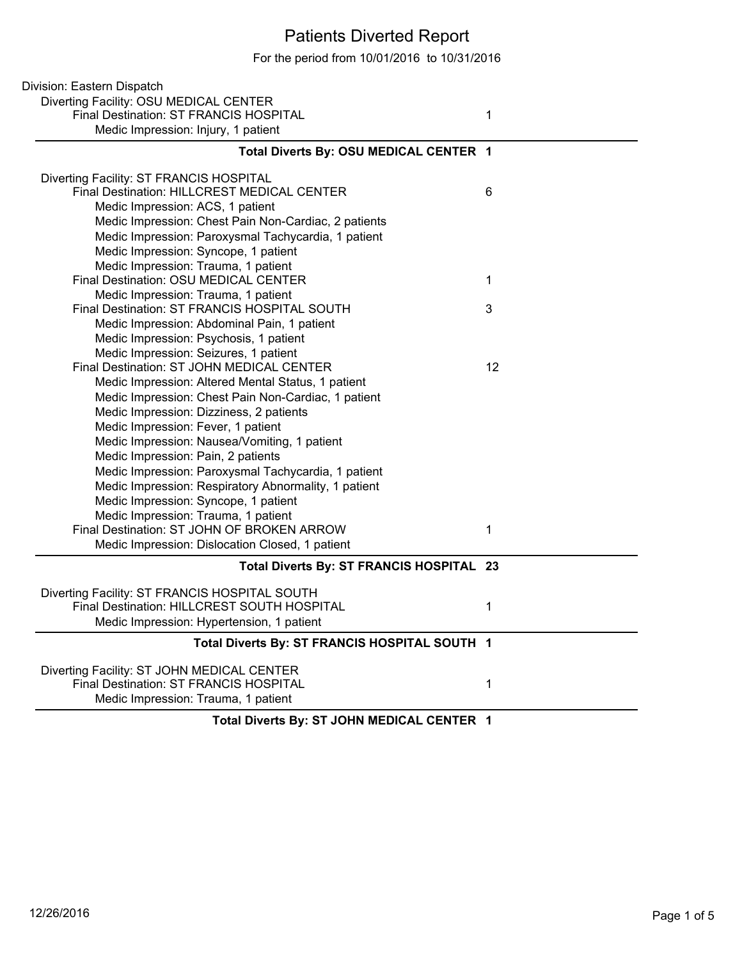## Patients Diverted Report

For the period from 10/01/2016 to 10/31/2016

| Division: Eastern Dispatch                           |    |
|------------------------------------------------------|----|
| Diverting Facility: OSU MEDICAL CENTER               |    |
| Final Destination: ST FRANCIS HOSPITAL               | 1  |
| Medic Impression: Injury, 1 patient                  |    |
| Total Diverts By: OSU MEDICAL CENTER 1               |    |
| Diverting Facility: ST FRANCIS HOSPITAL              |    |
| Final Destination: HILLCREST MEDICAL CENTER          | 6  |
| Medic Impression: ACS, 1 patient                     |    |
| Medic Impression: Chest Pain Non-Cardiac, 2 patients |    |
| Medic Impression: Paroxysmal Tachycardia, 1 patient  |    |
| Medic Impression: Syncope, 1 patient                 |    |
| Medic Impression: Trauma, 1 patient                  |    |
| Final Destination: OSU MEDICAL CENTER                | 1  |
| Medic Impression: Trauma, 1 patient                  |    |
| Final Destination: ST FRANCIS HOSPITAL SOUTH         | 3  |
| Medic Impression: Abdominal Pain, 1 patient          |    |
| Medic Impression: Psychosis, 1 patient               |    |
| Medic Impression: Seizures, 1 patient                |    |
| Final Destination: ST JOHN MEDICAL CENTER            | 12 |
| Medic Impression: Altered Mental Status, 1 patient   |    |
| Medic Impression: Chest Pain Non-Cardiac, 1 patient  |    |
| Medic Impression: Dizziness, 2 patients              |    |
| Medic Impression: Fever, 1 patient                   |    |
| Medic Impression: Nausea/Vomiting, 1 patient         |    |
| Medic Impression: Pain, 2 patients                   |    |
| Medic Impression: Paroxysmal Tachycardia, 1 patient  |    |
| Medic Impression: Respiratory Abnormality, 1 patient |    |
| Medic Impression: Syncope, 1 patient                 |    |
| Medic Impression: Trauma, 1 patient                  |    |
| Final Destination: ST JOHN OF BROKEN ARROW           | 1  |
| Medic Impression: Dislocation Closed, 1 patient      |    |
| Total Diverts By: ST FRANCIS HOSPITAL 23             |    |
| Diverting Facility: ST FRANCIS HOSPITAL SOUTH        |    |
| Final Destination: HILLCREST SOUTH HOSPITAL          | 1  |
| Medic Impression: Hypertension, 1 patient            |    |
| Total Diverts By: ST FRANCIS HOSPITAL SOUTH 1        |    |
| Diverting Facility: ST JOHN MEDICAL CENTER           |    |
| Final Destination: ST FRANCIS HOSPITAL               | 1  |
| Medic Impression: Trauma, 1 patient                  |    |
|                                                      |    |

**Total Diverts By: ST JOHN MEDICAL CENTER 1**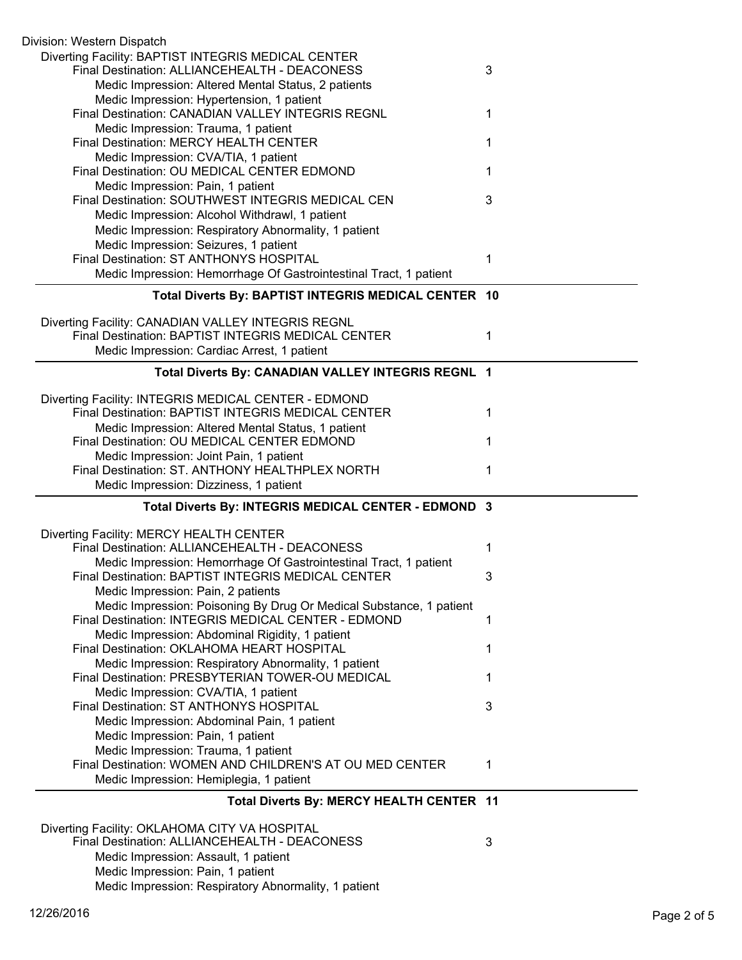| Division: Western Dispatch                                                                                         |   |
|--------------------------------------------------------------------------------------------------------------------|---|
| Diverting Facility: BAPTIST INTEGRIS MEDICAL CENTER<br>Final Destination: ALLIANCEHEALTH - DEACONESS               | 3 |
| Medic Impression: Altered Mental Status, 2 patients                                                                |   |
| Medic Impression: Hypertension, 1 patient                                                                          |   |
| Final Destination: CANADIAN VALLEY INTEGRIS REGNL                                                                  | 1 |
| Medic Impression: Trauma, 1 patient<br>Final Destination: MERCY HEALTH CENTER                                      | 1 |
| Medic Impression: CVA/TIA, 1 patient                                                                               |   |
| Final Destination: OU MEDICAL CENTER EDMOND                                                                        | 1 |
| Medic Impression: Pain, 1 patient                                                                                  |   |
| Final Destination: SOUTHWEST INTEGRIS MEDICAL CEN                                                                  | 3 |
| Medic Impression: Alcohol Withdrawl, 1 patient                                                                     |   |
| Medic Impression: Respiratory Abnormality, 1 patient                                                               |   |
| Medic Impression: Seizures, 1 patient                                                                              |   |
| Final Destination: ST ANTHONYS HOSPITAL                                                                            | 1 |
| Medic Impression: Hemorrhage Of Gastrointestinal Tract, 1 patient                                                  |   |
| Total Diverts By: BAPTIST INTEGRIS MEDICAL CENTER 10                                                               |   |
| Diverting Facility: CANADIAN VALLEY INTEGRIS REGNL                                                                 |   |
| Final Destination: BAPTIST INTEGRIS MEDICAL CENTER                                                                 | 1 |
| Medic Impression: Cardiac Arrest, 1 patient                                                                        |   |
| Total Diverts By: CANADIAN VALLEY INTEGRIS REGNL 1                                                                 |   |
| Diverting Facility: INTEGRIS MEDICAL CENTER - EDMOND                                                               |   |
| Final Destination: BAPTIST INTEGRIS MEDICAL CENTER                                                                 | 1 |
| Medic Impression: Altered Mental Status, 1 patient                                                                 |   |
| Final Destination: OU MEDICAL CENTER EDMOND                                                                        | 1 |
| Medic Impression: Joint Pain, 1 patient<br>Final Destination: ST. ANTHONY HEALTHPLEX NORTH                         |   |
| Medic Impression: Dizziness, 1 patient                                                                             | 1 |
|                                                                                                                    |   |
| Total Diverts By: INTEGRIS MEDICAL CENTER - EDMOND 3                                                               |   |
| Diverting Facility: MERCY HEALTH CENTER                                                                            |   |
| Final Destination: ALLIANCEHEALTH - DEACONESS<br>Medic Impression: Hemorrhage Of Gastrointestinal Tract, 1 patient | 1 |
| Final Destination: BAPTIST INTEGRIS MEDICAL CENTER                                                                 | 3 |
| Medic Impression: Pain, 2 patients                                                                                 |   |
| Medic Impression: Poisoning By Drug Or Medical Substance, 1 patient                                                |   |
| Final Destination: INTEGRIS MEDICAL CENTER - EDMOND                                                                | 1 |
| Medic Impression: Abdominal Rigidity, 1 patient                                                                    |   |
| Final Destination: OKLAHOMA HEART HOSPITAL                                                                         | 1 |
| Medic Impression: Respiratory Abnormality, 1 patient                                                               |   |
| Final Destination: PRESBYTERIAN TOWER-OU MEDICAL                                                                   | 1 |
| Medic Impression: CVA/TIA, 1 patient<br>Final Destination: ST ANTHONYS HOSPITAL                                    | 3 |
| Medic Impression: Abdominal Pain, 1 patient                                                                        |   |
| Medic Impression: Pain, 1 patient                                                                                  |   |
| Medic Impression: Trauma, 1 patient                                                                                |   |
| Final Destination: WOMEN AND CHILDREN'S AT OU MED CENTER                                                           | 1 |
| Medic Impression: Hemiplegia, 1 patient                                                                            |   |
|                                                                                                                    |   |
| Total Diverts By: MERCY HEALTH CENTER 11                                                                           |   |
|                                                                                                                    |   |
| Diverting Facility: OKLAHOMA CITY VA HOSPITAL                                                                      |   |
| Final Destination: ALLIANCEHEALTH - DEACONESS                                                                      | 3 |
| Medic Impression: Assault, 1 patient<br>Medic Impression: Pain, 1 patient                                          |   |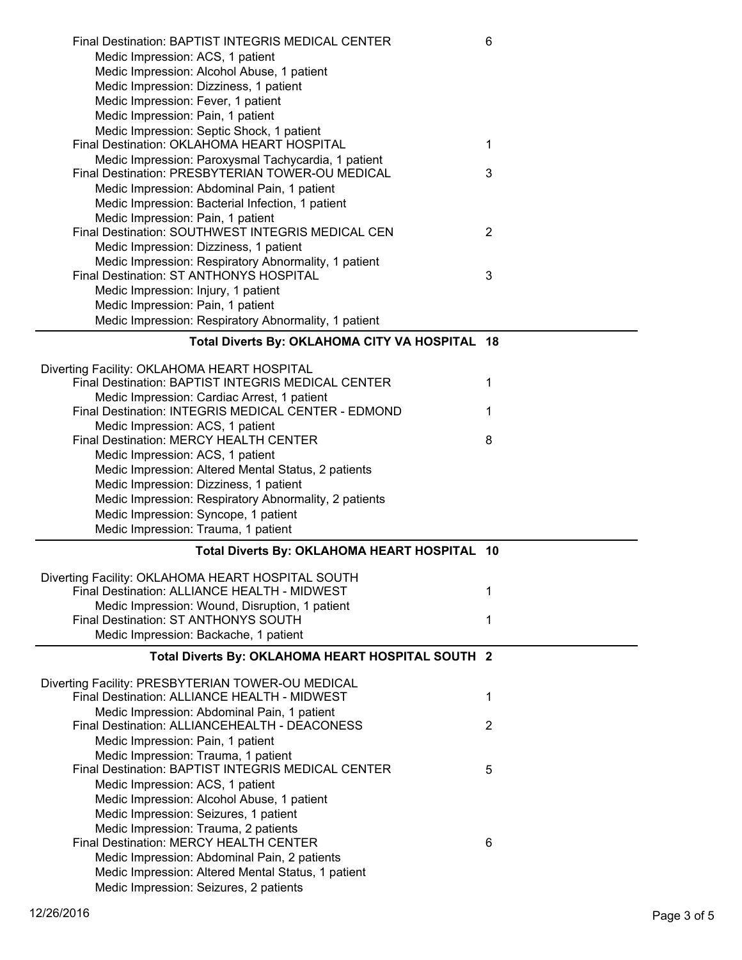| <b>Final Destination: BAPTIST INTEGRIS MEDICAL CENTER</b><br>Medic Impression: ACS, 1 patient     | 6              |
|---------------------------------------------------------------------------------------------------|----------------|
| Medic Impression: Alcohol Abuse, 1 patient                                                        |                |
| Medic Impression: Dizziness, 1 patient<br>Medic Impression: Fever, 1 patient                      |                |
| Medic Impression: Pain, 1 patient                                                                 |                |
| Medic Impression: Septic Shock, 1 patient                                                         |                |
| Final Destination: OKLAHOMA HEART HOSPITAL                                                        | 1              |
| Medic Impression: Paroxysmal Tachycardia, 1 patient                                               |                |
| Final Destination: PRESBYTERIAN TOWER-OU MEDICAL                                                  | 3              |
| Medic Impression: Abdominal Pain, 1 patient                                                       |                |
| Medic Impression: Bacterial Infection, 1 patient                                                  |                |
| Medic Impression: Pain, 1 patient                                                                 |                |
| Final Destination: SOUTHWEST INTEGRIS MEDICAL CEN                                                 | $\overline{2}$ |
| Medic Impression: Dizziness, 1 patient                                                            |                |
| Medic Impression: Respiratory Abnormality, 1 patient<br>Final Destination: ST ANTHONYS HOSPITAL   | 3              |
| Medic Impression: Injury, 1 patient                                                               |                |
| Medic Impression: Pain, 1 patient                                                                 |                |
| Medic Impression: Respiratory Abnormality, 1 patient                                              |                |
| Total Diverts By: OKLAHOMA CITY VA HOSPITAL 18                                                    |                |
|                                                                                                   |                |
| Diverting Facility: OKLAHOMA HEART HOSPITAL                                                       |                |
| Final Destination: BAPTIST INTEGRIS MEDICAL CENTER                                                | 1              |
| Medic Impression: Cardiac Arrest, 1 patient                                                       |                |
| Final Destination: INTEGRIS MEDICAL CENTER - EDMOND                                               | 1              |
| Medic Impression: ACS, 1 patient<br>Final Destination: MERCY HEALTH CENTER                        | 8              |
| Medic Impression: ACS, 1 patient                                                                  |                |
| Medic Impression: Altered Mental Status, 2 patients                                               |                |
| Medic Impression: Dizziness, 1 patient                                                            |                |
| Medic Impression: Respiratory Abnormality, 2 patients                                             |                |
| Medic Impression: Syncope, 1 patient                                                              |                |
| Medic Impression: Trauma, 1 patient                                                               |                |
| Total Diverts By: OKLAHOMA HEART HOSPITAL 10                                                      |                |
| Diverting Facility: OKLAHOMA HEART HOSPITAL SOUTH                                                 |                |
| Final Destination: ALLIANCE HEALTH - MIDWEST                                                      |                |
|                                                                                                   | 1              |
| Medic Impression: Wound, Disruption, 1 patient                                                    |                |
| Final Destination: ST ANTHONYS SOUTH                                                              | 1              |
| Medic Impression: Backache, 1 patient                                                             |                |
| Total Diverts By: OKLAHOMA HEART HOSPITAL SOUTH 2                                                 |                |
|                                                                                                   |                |
| Diverting Facility: PRESBYTERIAN TOWER-OU MEDICAL<br>Final Destination: ALLIANCE HEALTH - MIDWEST | 1              |
| Medic Impression: Abdominal Pain, 1 patient                                                       |                |
| Final Destination: ALLIANCEHEALTH - DEACONESS                                                     | $\overline{2}$ |
| Medic Impression: Pain, 1 patient                                                                 |                |
| Medic Impression: Trauma, 1 patient                                                               |                |
| Final Destination: BAPTIST INTEGRIS MEDICAL CENTER                                                | 5              |
| Medic Impression: ACS, 1 patient                                                                  |                |
| Medic Impression: Alcohol Abuse, 1 patient                                                        |                |
| Medic Impression: Seizures, 1 patient                                                             |                |
| Medic Impression: Trauma, 2 patients<br>Final Destination: MERCY HEALTH CENTER                    | 6              |
| Medic Impression: Abdominal Pain, 2 patients                                                      |                |
| Medic Impression: Altered Mental Status, 1 patient                                                |                |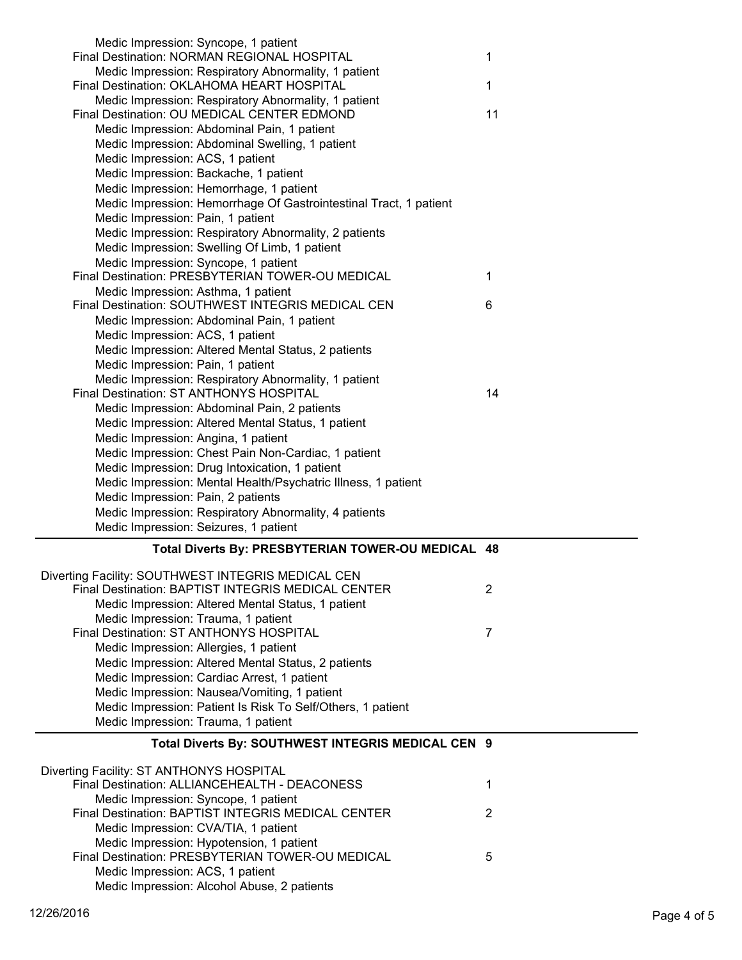| Medic Impression: Syncope, 1 patient<br>Final Destination: NORMAN REGIONAL HOSPITAL                 | 1  |
|-----------------------------------------------------------------------------------------------------|----|
| Medic Impression: Respiratory Abnormality, 1 patient<br>Final Destination: OKLAHOMA HEART HOSPITAL  | 1  |
| Medic Impression: Respiratory Abnormality, 1 patient                                                |    |
| Final Destination: OU MEDICAL CENTER EDMOND                                                         | 11 |
| Medic Impression: Abdominal Pain, 1 patient                                                         |    |
| Medic Impression: Abdominal Swelling, 1 patient                                                     |    |
| Medic Impression: ACS, 1 patient                                                                    |    |
| Medic Impression: Backache, 1 patient                                                               |    |
| Medic Impression: Hemorrhage, 1 patient                                                             |    |
| Medic Impression: Hemorrhage Of Gastrointestinal Tract, 1 patient                                   |    |
| Medic Impression: Pain, 1 patient                                                                   |    |
| Medic Impression: Respiratory Abnormality, 2 patients                                               |    |
| Medic Impression: Swelling Of Limb, 1 patient                                                       |    |
| Medic Impression: Syncope, 1 patient                                                                |    |
| Final Destination: PRESBYTERIAN TOWER-OU MEDICAL                                                    | 1  |
| Medic Impression: Asthma, 1 patient                                                                 |    |
| Final Destination: SOUTHWEST INTEGRIS MEDICAL CEN                                                   | 6  |
| Medic Impression: Abdominal Pain, 1 patient                                                         |    |
| Medic Impression: ACS, 1 patient                                                                    |    |
| Medic Impression: Altered Mental Status, 2 patients                                                 |    |
| Medic Impression: Pain, 1 patient                                                                   |    |
| Medic Impression: Respiratory Abnormality, 1 patient                                                |    |
| Final Destination: ST ANTHONYS HOSPITAL                                                             | 14 |
| Medic Impression: Abdominal Pain, 2 patients                                                        |    |
| Medic Impression: Altered Mental Status, 1 patient                                                  |    |
| Medic Impression: Angina, 1 patient                                                                 |    |
| Medic Impression: Chest Pain Non-Cardiac, 1 patient                                                 |    |
| Medic Impression: Drug Intoxication, 1 patient                                                      |    |
| Medic Impression: Mental Health/Psychatric Illness, 1 patient<br>Medic Impression: Pain, 2 patients |    |
| Medic Impression: Respiratory Abnormality, 4 patients                                               |    |
| Medic Impression: Seizures, 1 patient                                                               |    |
|                                                                                                     |    |
| Total Diverts By: PRESBYTERIAN TOWER-OU MEDICAL 48                                                  |    |
| Diverting Facility: SOUTHWEST INTEGRIS MEDICAL CEN                                                  |    |
| Final Destination: BAPTIST INTEGRIS MEDICAL CENTER                                                  | 2  |
| Medic Impression: Altered Mental Status, 1 patient                                                  |    |
| Medic Impression: Trauma, 1 patient                                                                 |    |
| Final Destination: ST ANTHONYS HOSPITAL                                                             |    |
| Medic Impression: Allergies, 1 patient                                                              | 7  |
|                                                                                                     |    |
| Medic Impression: Altered Mental Status, 2 patients                                                 |    |
| Medic Impression: Cardiac Arrest, 1 patient                                                         |    |
| Medic Impression: Nausea/Vomiting, 1 patient                                                        |    |
| Medic Impression: Patient Is Risk To Self/Others, 1 patient                                         |    |
| Medic Impression: Trauma, 1 patient                                                                 |    |
| Total Diverts By: SOUTHWEST INTEGRIS MEDICAL CEN 9                                                  |    |
| Diverting Facility: ST ANTHONYS HOSPITAL                                                            |    |
| Final Destination: ALLIANCEHEALTH - DEACONESS                                                       | 1  |
| Medic Impression: Syncope, 1 patient                                                                |    |
| Final Destination: BAPTIST INTEGRIS MEDICAL CENTER                                                  | 2  |
| Medic Impression: CVA/TIA, 1 patient                                                                |    |
| Medic Impression: Hypotension, 1 patient                                                            |    |
| Final Destination: PRESBYTERIAN TOWER-OU MEDICAL                                                    | 5  |
| Medic Impression: ACS, 1 patient<br>Medic Impression: Alcohol Abuse, 2 patients                     |    |